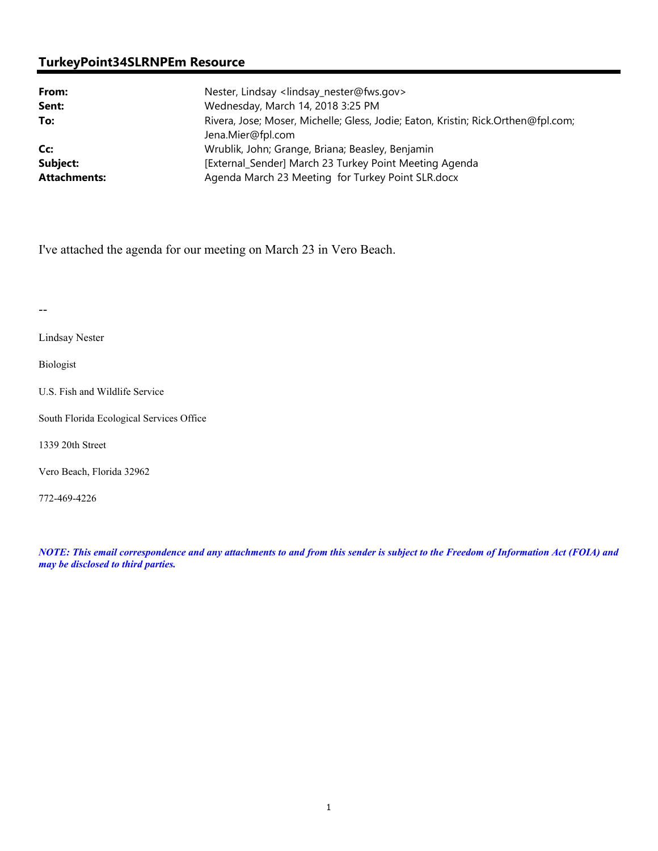# **TurkeyPoint34SLRNPEm Resource**

| From:               | Nester, Lindsay <lindsay_nester@fws.gov></lindsay_nester@fws.gov>                 |
|---------------------|-----------------------------------------------------------------------------------|
| Sent:               | Wednesday, March 14, 2018 3:25 PM                                                 |
| To:                 | Rivera, Jose; Moser, Michelle; Gless, Jodie; Eaton, Kristin; Rick.Orthen@fpl.com; |
|                     | Jena.Mier@fpl.com                                                                 |
| Cc:                 | Wrublik, John; Grange, Briana; Beasley, Benjamin                                  |
| Subject:            | [External_Sender] March 23 Turkey Point Meeting Agenda                            |
| <b>Attachments:</b> | Agenda March 23 Meeting for Turkey Point SLR.docx                                 |

I've attached the agenda for our meeting on March 23 in Vero Beach.

--

Lindsay Nester

Biologist

U.S. Fish and Wildlife Service

South Florida Ecological Services Office

1339 20th Street

Vero Beach, Florida 32962

772-469-4226

*NOTE: This email correspondence and any attachments to and from this sender is subject to the Freedom of Information Act (FOIA) and may be disclosed to third parties.*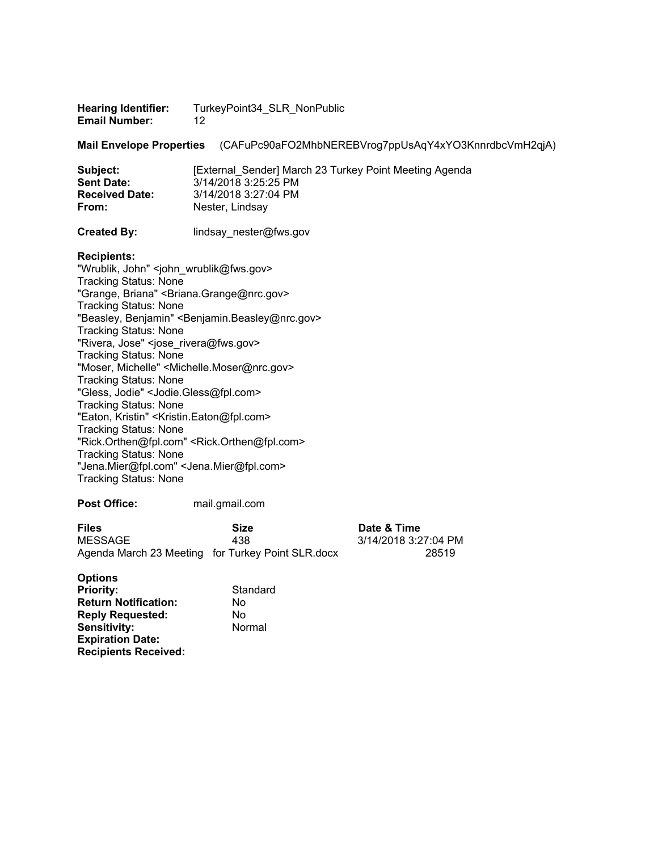| <b>Hearing Identifier:</b> | TurkeyPoint34_SLR_NonPublic |
|----------------------------|-----------------------------|
| <b>Email Number:</b>       | -12                         |

**Mail Envelope Properties** (CAFuPc90aFO2MhbNEREBVrog7ppUsAqY4xYO3KnnrdbcVmH2qjA)

| Subject:              | [External Sender] March 23 Turkey Point Meeting Agenda |
|-----------------------|--------------------------------------------------------|
| <b>Sent Date:</b>     | 3/14/2018 3:25:25 PM                                   |
| <b>Received Date:</b> | 3/14/2018 3:27:04 PM                                   |
| From:                 | Nester, Lindsay                                        |
|                       |                                                        |

**Created By: lindsay** nester@fws.gov

#### **Recipients:**

"Wrublik, John" <john\_wrublik@fws.gov> Tracking Status: None "Grange, Briana" <Briana.Grange@nrc.gov> Tracking Status: None "Beasley, Benjamin" <Benjamin.Beasley@nrc.gov> Tracking Status: None "Rivera, Jose" <jose\_rivera@fws.gov> Tracking Status: None "Moser, Michelle" <Michelle.Moser@nrc.gov> Tracking Status: None "Gless, Jodie" <Jodie.Gless@fpl.com> Tracking Status: None "Eaton, Kristin" <Kristin.Eaton@fpl.com> Tracking Status: None "Rick.Orthen@fpl.com" <Rick.Orthen@fpl.com> Tracking Status: None "Jena.Mier@fpl.com" <Jena.Mier@fpl.com> Tracking Status: None

### **Post Office:** mail.gmail.com

| <b>Files</b> | Size                                              | Date & Time          |
|--------------|---------------------------------------------------|----------------------|
| MESSAGE      | 438                                               | 3/14/2018 3:27:04 PM |
|              | Agenda March 23 Meeting for Turkey Point SLR.docx | 28519                |

| <b>Options</b>              |          |
|-----------------------------|----------|
| <b>Priority:</b>            | Standard |
| <b>Return Notification:</b> | No       |
| <b>Reply Requested:</b>     | No       |
| Sensitivity:                | Normal   |
| <b>Expiration Date:</b>     |          |
| <b>Recipients Received:</b> |          |